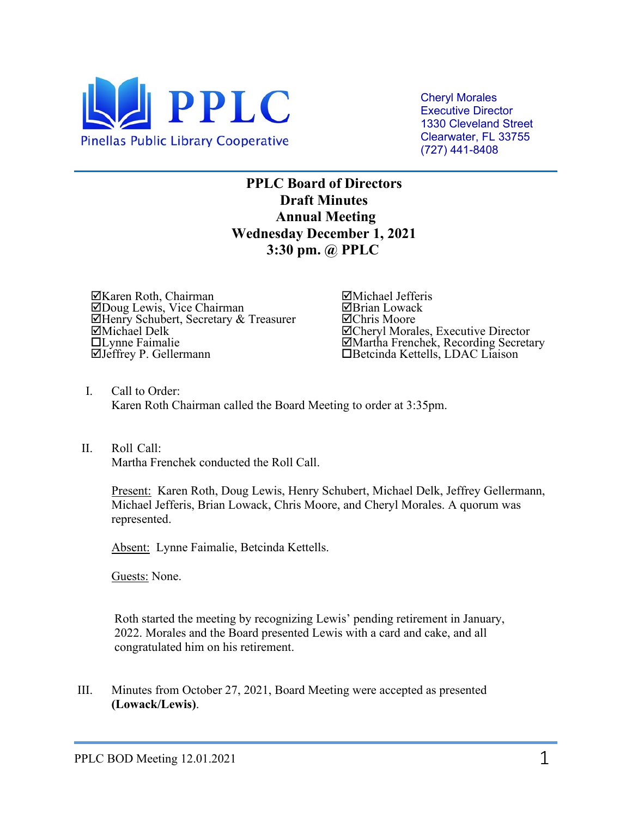

Cheryl Morales Executive Director 1330 Cleveland Street Clearwater, FL 33755 (727) 441-8408

**PPLC Board of Directors Draft Minutes Annual Meeting Wednesday December 1, 2021 3:30 pm. @ PPLC**

Karen Roth, Chairman Doug Lewis, Vice Chairman **ØHenry Schubert, Secretary & Treasurer**<br>**ØMichael Delk**  $\Box$ Lynne Faimalie Jeffrey P. Gellermann

Michael Jefferis ⊠Brian Lowack Chris Moore  $\Xi$ **Cheryl Morales, Executive Director**<br> $\Xi$ **Martha Frenchek, Recording Secretary** Martha Frenchek, Recording Secretary Betcinda Kettells, LDAC Liaison

- I. Call to Order: Karen Roth Chairman called the Board Meeting to order at 3:35pm.
- II. Roll Call: Martha Frenchek conducted the Roll Call.

Present: Karen Roth, Doug Lewis, Henry Schubert, Michael Delk, Jeffrey Gellermann, Michael Jefferis, Brian Lowack, Chris Moore, and Cheryl Morales. A quorum was represented.

Absent: Lynne Faimalie, Betcinda Kettells.

Guests: None.

 Roth started the meeting by recognizing Lewis' pending retirement in January, 2022. Morales and the Board presented Lewis with a card and cake, and all congratulated him on his retirement.

III. Minutes from October 27, 2021, Board Meeting were accepted as presented **(Lowack/Lewis)**.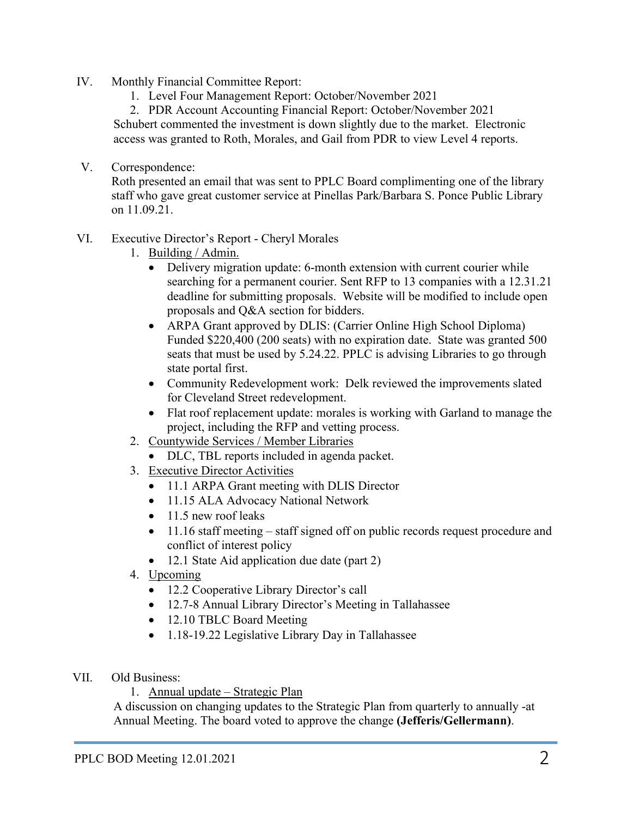- IV. Monthly Financial Committee Report:
	- 1. Level Four Management Report: October/November 2021

2. PDR Account Accounting Financial Report: October/November 2021 Schubert commented the investment is down slightly due to the market. Electronic access was granted to Roth, Morales, and Gail from PDR to view Level 4 reports.

V. Correspondence:

Roth presented an email that was sent to PPLC Board complimenting one of the library staff who gave great customer service at Pinellas Park/Barbara S. Ponce Public Library on 11.09.21.

- VI. Executive Director's Report Cheryl Morales
	- 1. Building / Admin.
		- Delivery migration update: 6-month extension with current courier while searching for a permanent courier. Sent RFP to 13 companies with a 12.31.21 deadline for submitting proposals. Website will be modified to include open proposals and Q&A section for bidders.
		- ARPA Grant approved by DLIS: (Carrier Online High School Diploma) Funded \$220,400 (200 seats) with no expiration date. State was granted 500 seats that must be used by 5.24.22. PPLC is advising Libraries to go through state portal first.
		- Community Redevelopment work: Delk reviewed the improvements slated for Cleveland Street redevelopment.
		- Flat roof replacement update: morales is working with Garland to manage the project, including the RFP and vetting process.
	- 2. Countywide Services / Member Libraries
		- DLC, TBL reports included in agenda packet.
	- 3. Executive Director Activities
		- 11.1 ARPA Grant meeting with DLIS Director
		- 11.15 ALA Advocacy National Network
		- 11.5 new roof leaks
		- 11.16 staff meeting staff signed off on public records request procedure and conflict of interest policy
		- 12.1 State Aid application due date (part 2)
	- 4. Upcoming
		- 12.2 Cooperative Library Director's call
		- 12.7-8 Annual Library Director's Meeting in Tallahassee
		- 12.10 TBLC Board Meeting
		- 1.18-19.22 Legislative Library Day in Tallahassee
- VII. Old Business:
	- 1. Annual update Strategic Plan

A discussion on changing updates to the Strategic Plan from quarterly to annually -at Annual Meeting. The board voted to approve the change **(Jefferis/Gellermann)**.